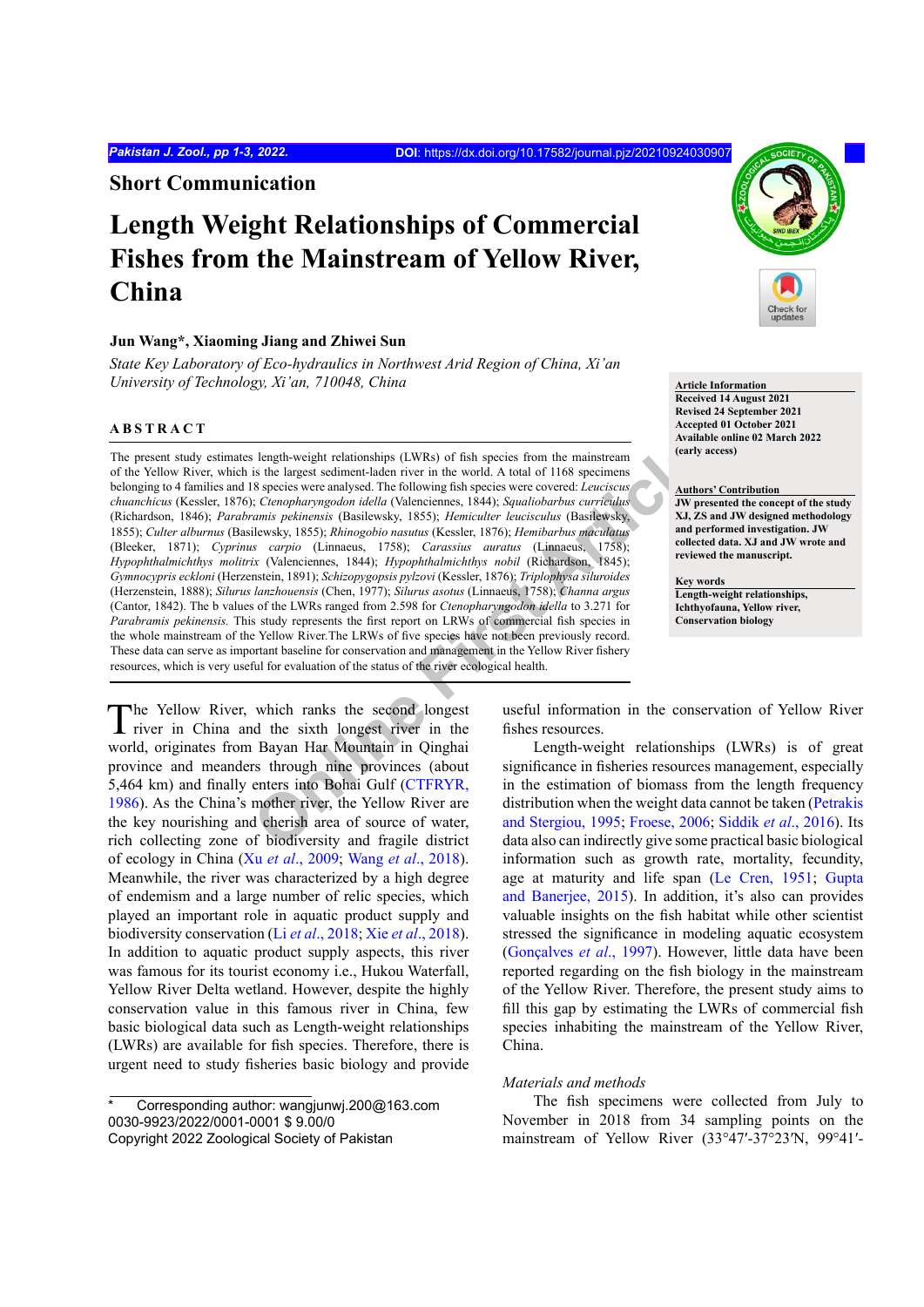**Short Communication**

# **Length Weight Relationships of Commercial Fishes from the Mainstream of Yellow River, China**

## **Jun Wang\*, Xiaoming Jiang and Zhiwei Sun**

*State Key Laboratory of Eco-hydraulics in Northwest Arid Region of China, Xi'an University of Technology, Xi'an, 710048, China* **Article Information Article Information** 

## **ABSTRACT**

**Solution Conservation** Singlet Weight relationships (LWRs) of fish species from the mainstream<br>
is the largest sediment-laden river in the world. A total of 1168 species were conserved the following fish species were cove The present study estimates length-weight relationships (LWRs) of fish species from the mainstream of the Yellow River, which is the largest sediment-laden river in the world. A total of 1168 specimens belonging to 4 families and 18 species were analysed. The following fish species were covered: *Leuciscus chuanchicus* (Kessler, 1876); *Ctenopharyngodon idella* (Valenciennes, 1844); *Squaliobarbus curriculus* (Richardson, 1846); *Parabramis pekinensis* (Basilewsky, 1855); *Hemiculter leucisculus* (Basilewsky, 1855); *Culter alburnus* (Basilewsky, 1855); *Rhinogobio nasutus* (Kessler, 1876); *Hemibarbus maculatus* (Bleeker, 1871); *Cyprinus carpio* (Linnaeus, 1758); *Carassius auratus* (Linnaeus, 1758); *Hypophthalmichthys molitrix* (Valenciennes, 1844); *Hypophthalmichthys nobil* (Richardson, 1845); *Gymnocypris eckloni* (Herzenstein, 1891); *Schizopygopsis pylzovi* (Kessler, 1876); *Triplophysa siluroides* (Herzenstein, 1888); *Silurus lanzhouensis* (Chen, 1977); *Silurus asotus* (Linnaeus, 1758); *Channa argus* (Cantor, 1842). The b values of the LWRs ranged from 2.598 for *Ctenopharyngodon idella* to 3.271 for *Parabramis pekinensis.* This study represents the first report on LRWs of commercial fish species in the whole mainstream of the Yellow River*.*The LRWs of five species have not been previously record. These data can serve as important baseline for conservation and management in the Yellow River fishery resources, which is very useful for evaluation of the status of the river ecological health.

The Yellow River, which ranks the second longest river in China and the sixth longest river in the world, originates from Bayan Har Mountain in Qinghai province and meanders through nine provinces (about 5,464 km) and finally enters into Bohai Gulf (CTFRYR, [1986\)](#page-2-0). As the China's mother river, the Yellow River are the key nourishing and cherish area of source of water, rich collecting zone of biodiversity and fragile district of ecology in China (Xu *et al*[., 2009](#page-2-1); Wang *et al*[., 2018](#page-2-2)). Meanwhile, the river was characterized by a high degree of endemism and a large number of relic species, which played an important role in aquatic product supply and biodiversity conservation (Li *et al*[., 2018](#page-2-3); Xie *et al*[., 2018](#page-2-4)). In addition to aquatic product supply aspects, this river was famous for its tourist economy i.e., Hukou Waterfall, Yellow River Delta wetland. However, despite the highly conservation value in this famous river in China, few basic biological data such as Length-weight relationships (LWRs) are available for fish species. Therefore, there is urgent need to study fisheries basic biology and provide



**Received 14 August 2021 Revised 24 September 2021 Accepted 01 October 2021 Available online 02 March 2022 (early access)**

**Authors' Contribution JW presented the concept of the study XJ, ZS and JW designed methodology and performed investigation. JW collected data. XJ and JW wrote and reviewed the manuscript.** 

**Key words Length-weight relationships, Ichthyofauna, Yellow river, Conservation biology**

useful information in the conservation of Yellow River fishes resources.

Length-weight relationships (LWRs) is of great significance in fisheries resources management, especially in the estimation of biomass from the length frequency distribution when the weight data cannot be taken ([Petrakis](#page-2-5) and Stergiou, 1995; Froese, 2006; [Siddik](#page-2-7) *et al*., 2016). Its data also can indirectly give some practical basic biological information such as growth rate, mortality, fecundity, age at maturity and life span ([Le Cren, 1951;](#page-2-8) [Gupta](#page-2-9) [and Banerjee, 2015\)](#page-2-9). In addition, it's also can provides valuable insights on the fish habitat while other scientist stressed the significance in modeling aquatic ecosystem (Gonçalves *et al*., 1997). However, little data have been reported regarding on the fish biology in the mainstream of the Yellow River. Therefore, the present study aims to fill this gap by estimating the LWRs of commercial fish species inhabiting the mainstream of the Yellow River, China.

#### *Materials and methods*

The fish specimens were collected from July to November in 2018 from 34 sampling points on the mainstream of Yellow River (33°47′-37°23′N, 99°41′-

Corresponding author: wangjunwj.200@163.com 0030-9923/2022/0001-0001 \$ 9.00/0

Copyright 2022 Zoological Society of Pakistan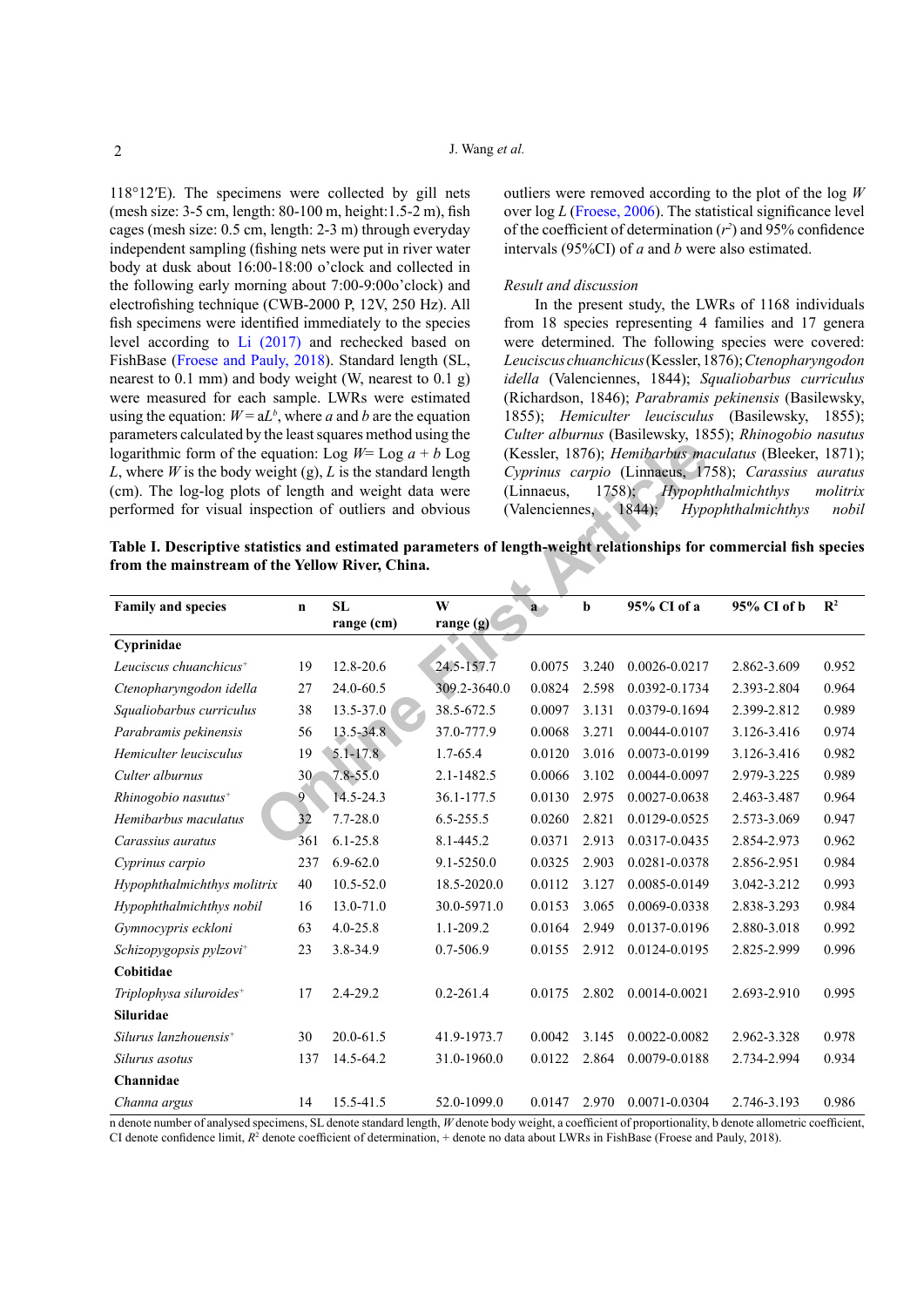118°12′E). The specimens were collected by gill nets (mesh size: 3-5 cm, length: 80-100 m, height:1.5-2 m), fish cages (mesh size: 0.5 cm, length: 2-3 m) through everyday independent sampling (fishing nets were put in river water body at dusk about 16:00-18:00 o'clock and collected in the following early morning about 7:00-9:00o'clock) and electrofishing technique (CWB-2000 P, 12V, 250 Hz). All fish specimens were identified immediately to the species level according to [Li \(2017\)](#page-2-10) and rechecked based on FishBase (Froese and Pauly, 2018). Standard length (SL, nearest to 0.1 mm) and body weight (W, nearest to 0.1 g) were measured for each sample. LWRs were estimated using the equation:  $W = aL^b$ , where *a* and *b* are the equation parameters calculated by the least squares method using the logarithmic form of the equation: Log  $W=$  Log  $a + b$  Log *L*, where *W* is the body weight (g), *L* is the standard length (cm). The log-log plots of length and weight data were performed for visual inspection of outliers and obvious

outliers were removed according to the plot of the log *W* over log *L* ([Froese, 2006](#page-2-6)). The statistical significance level of the coefficient of determination  $(r^2)$  and 95% confidence intervals (95%CI) of *a* and *b* were also estimated.

#### *Result and discussion*

In the present study, the LWRs of 1168 individuals from 18 species representing 4 families and 17 genera were determined. The following species were covered: *Leuciscus chuanchicus* (Kessler, 1876); *Ctenopharyngodon idella* (Valenciennes, 1844); *Squaliobarbus curriculus* (Richardson, 1846); *Parabramis pekinensis* (Basilewsky, 1855); *Hemiculter leucisculus* (Basilewsky, 1855); *Culter alburnus* (Basilewsky, 1855); *Rhinogobio nasutus*  (Kessler, 1876); *Hemibarbus maculatus* (Bleeker, 1871); *Cyprinus carpio* (Linnaeus, 1758); *Carassius auratus* (Linnaeus, 1758); *Hypophthalmichthys molitrix* (Valenciennes, 1844); *Hypophthalmichthys nobil*

<span id="page-1-0"></span>

|                                                 | Table I. Descriptive statistics and estimated parameters of length-weight relationships for commercial fish species |
|-------------------------------------------------|---------------------------------------------------------------------------------------------------------------------|
| from the mainstream of the Yellow River. China. |                                                                                                                     |

| logarithmic form of the equation: Log $W = \text{Log } a + b \text{ Log } a$<br>L, where W is the body weight (g), L is the standard length<br>(cm). The log-log plots of length and weight data were |                 |               |               | (Kessler, 1876); Hemibarbus maculatus (Bleeker, 1871)                                                      |             |                   |             |                |  |
|-------------------------------------------------------------------------------------------------------------------------------------------------------------------------------------------------------|-----------------|---------------|---------------|------------------------------------------------------------------------------------------------------------|-------------|-------------------|-------------|----------------|--|
|                                                                                                                                                                                                       |                 |               |               | Cyprinus carpio (Linnaeus, 1758); Carassius auratus                                                        |             |                   |             |                |  |
|                                                                                                                                                                                                       |                 |               |               | 1758); Hypophthalmichthys<br>(Linnaeus,<br>molitrix<br>(Valenciennes, 1844);<br>Hypophthalmichthys<br>nobi |             |                   |             |                |  |
| performed for visual inspection of outliers and obvious                                                                                                                                               |                 |               |               |                                                                                                            |             |                   |             |                |  |
|                                                                                                                                                                                                       |                 |               |               |                                                                                                            |             |                   |             |                |  |
| Table I. Descriptive statistics and estimated parameters of length-weight relationships for commercial fish species<br>from the mainstream of the Yellow River, China.                                |                 |               |               |                                                                                                            |             |                   |             |                |  |
|                                                                                                                                                                                                       |                 |               |               |                                                                                                            |             |                   |             |                |  |
| <b>Family and species</b>                                                                                                                                                                             | $\mathbf n$     | <b>SL</b>     | W             | $\mathbf{a}$                                                                                               | $\mathbf b$ | 95% CI of a       | 95% CI of b | $\mathbb{R}^2$ |  |
|                                                                                                                                                                                                       |                 | range (cm)    | range (g)     |                                                                                                            |             |                   |             |                |  |
| Cyprinidae                                                                                                                                                                                            |                 |               |               |                                                                                                            |             |                   |             |                |  |
| Leuciscus chuanchicus <sup>+</sup>                                                                                                                                                                    | 19              | 12.8-20.6     | 24.5-157.7    | 0.0075                                                                                                     | 3.240       | $0.0026 - 0.0217$ | 2.862-3.609 | 0.952          |  |
| Ctenopharyngodon idella                                                                                                                                                                               | 27              | 24.0-60.5     | 309.2-3640.0  | 0.0824                                                                                                     | 2.598       | 0.0392-0.1734     | 2.393-2.804 | 0.964          |  |
| Squaliobarbus curriculus                                                                                                                                                                              | 38              | 13.5-37.0     | 38.5-672.5    | 0.0097                                                                                                     | 3.131       | 0.0379-0.1694     | 2.399-2.812 | 0.989          |  |
| Parabramis pekinensis                                                                                                                                                                                 | 56              | $13.5 - 34.8$ | 37.0-777.9    | 0.0068                                                                                                     | 3.271       | 0.0044-0.0107     | 3.126-3.416 | 0.974          |  |
| Hemiculter leucisculus                                                                                                                                                                                | 19              | $5.1 - 17.8$  | 1.7-65.4      | 0.0120                                                                                                     | 3.016       | 0.0073-0.0199     | 3.126-3.416 | 0.982          |  |
| Culter alburnus                                                                                                                                                                                       | 30 <sup>°</sup> | $7.8 - 55.0$  | 2.1-1482.5    | 0.0066                                                                                                     | 3.102       | 0.0044-0.0097     | 2.979-3.225 | 0.989          |  |
| Rhinogobio nasutus <sup>+</sup>                                                                                                                                                                       | 9 <sup>1</sup>  | 14.5-24.3     | 36.1-177.5    | 0.0130                                                                                                     | 2.975       | 0.0027-0.0638     | 2.463-3.487 | 0.964          |  |
| Hemibarbus maculatus                                                                                                                                                                                  | 32              | $7.7 - 28.0$  | $6.5 - 255.5$ | 0.0260                                                                                                     | 2.821       | 0.0129-0.0525     | 2.573-3.069 | 0.947          |  |
| Carassius auratus                                                                                                                                                                                     | 361             | $6.1 - 25.8$  | 8.1-445.2     | 0.0371                                                                                                     | 2.913       | 0.0317-0.0435     | 2.854-2.973 | 0.962          |  |
| Cyprinus carpio                                                                                                                                                                                       | 237             | $6.9 - 62.0$  | 9.1-5250.0    | 0.0325                                                                                                     | 2.903       | 0.0281-0.0378     | 2.856-2.951 | 0.984          |  |
| Hypophthalmichthys molitrix                                                                                                                                                                           | 40              | $10.5 - 52.0$ | 18.5-2020.0   | 0.0112                                                                                                     | 3.127       | 0.0085-0.0149     | 3.042-3.212 | 0.993          |  |
| Hypophthalmichthys nobil                                                                                                                                                                              | 16              | 13.0-71.0     | 30.0-5971.0   | 0.0153                                                                                                     | 3.065       | 0.0069-0.0338     | 2.838-3.293 | 0.984          |  |
| Gymnocypris eckloni                                                                                                                                                                                   | 63              | 4.0-25.8      | 1.1-209.2     | 0.0164                                                                                                     | 2.949       | 0.0137-0.0196     | 2.880-3.018 | 0.992          |  |
| Schizopygopsis pylzovi+                                                                                                                                                                               | 23              | 3.8-34.9      | 0.7-506.9     | 0.0155                                                                                                     | 2.912       | 0.0124-0.0195     | 2.825-2.999 | 0.996          |  |
| Cobitidae                                                                                                                                                                                             |                 |               |               |                                                                                                            |             |                   |             |                |  |
| Triplophysa siluroides <sup>+</sup>                                                                                                                                                                   | 17              | 2.4-29.2      | $0.2 - 261.4$ | 0.0175                                                                                                     | 2.802       | 0.0014-0.0021     | 2.693-2.910 | 0.995          |  |
| <b>Siluridae</b>                                                                                                                                                                                      |                 |               |               |                                                                                                            |             |                   |             |                |  |
| Silurus lanzhouensis <sup>+</sup>                                                                                                                                                                     | 30              | 20.0-61.5     | 41.9-1973.7   | 0.0042                                                                                                     | 3.145       | 0.0022-0.0082     | 2.962-3.328 | 0.978          |  |
| Silurus asotus                                                                                                                                                                                        | 137             | 14.5-64.2     | 31.0-1960.0   | 0.0122 2.864                                                                                               |             | 0.0079-0.0188     | 2.734-2.994 | 0.934          |  |
| Channidae                                                                                                                                                                                             |                 |               |               |                                                                                                            |             |                   |             |                |  |
| Channa argus                                                                                                                                                                                          | 14              | 15.5-41.5     | 52.0-1099.0   | 0.0147                                                                                                     | 2.970       | 0.0071-0.0304     | 2.746-3.193 | 0.986          |  |

n denote number of analysed specimens, SL denote standard length, *W* denote body weight, a coefficient of proportionality, b denote allometric coefficient, CI denote confidence limit,  $R^2$  denote coefficient of determination,  $+$  denote no data about LWRs in FishBase (Froese and Pauly, 2018).